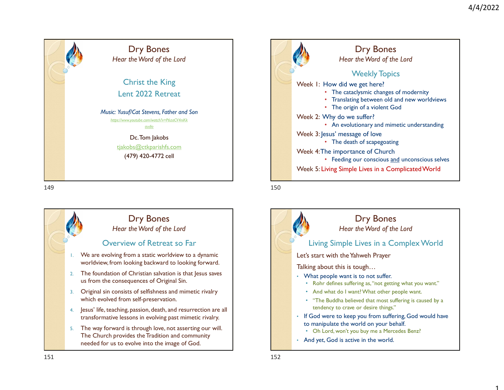1

## Dry Bones Hear the Word of the Lord Christ the King Lent 2022 Retreat Music: Yusuf/Cat Stevens, Father and Son https://www.youtube.com/watch?v=P6zaCV4niKk audio de la construcción de la construcción de la construcción de la construcción de la construcción de la con Dc. Tom Jakobs tjakobs@ctkparishfs.com (479) 420-4772 cell 149<br>
Mear the Word of the Lord<br>
Christ the King<br>
Lent 2022 Retreat<br>
Music You∩Cat Steelers Faither and Son<br>
Music You∩Cat Steelers Faither and Son<br>
Music You∩Cat Steelers Faither and Son<br>
The Catalystic Christenes Faithe

Overview of Retreat so Far

Dry Bones Hear the Word of the Lord

1. We are evolving from a static worldview to a dynamic worldview, from looking backward to looking forward. 2. The foundation of Christian salvation is that Jesus saves

3. Original sin consists of selfishness and mimetic rivalry

4. Jesus' life, teaching, passion, death, and resurrection are all transformative lessons in evolving past mimetic rivalry. 5. The way forward is through love, not asserting our will. The Church provides the Tradition and community needed for us to evolve into the image of God.

us from the consequences of Original Sin.

which evolved from self-preservation.

Weekly Topics Week 1: How did we get here? • The cataclysmic changes of modernity • Translating between old and new worldviews • The origin of a violent God Week 2: Why do we suffer? • An evolutionary and mimetic understanding Week 3: Jesus' message of love • The death of scapegoating Week 4: The importance of Church 4/4/2022<br>
• Fear the Word of the Lord<br>
• Hear the Word of the Lord<br>
• The cataclysmic changes of modernity<br>
• Translating between old and new worldviews<br>
• The origin of a violent God<br>
• My do we suffer?<br>
• An evolutionary Week 5: Living Simple Lives in a Complicated World Dry Bones Hear the Word of the Lord

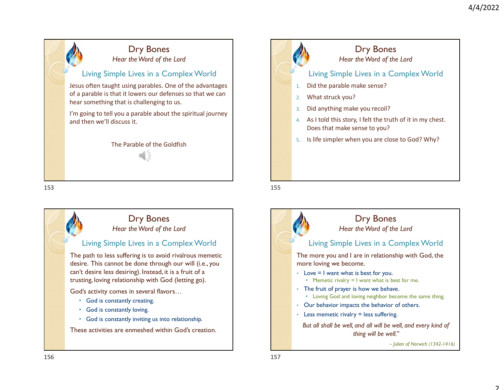



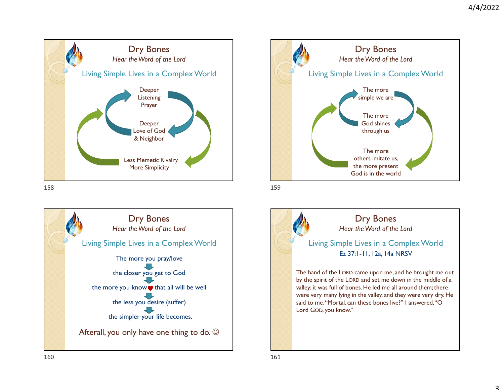